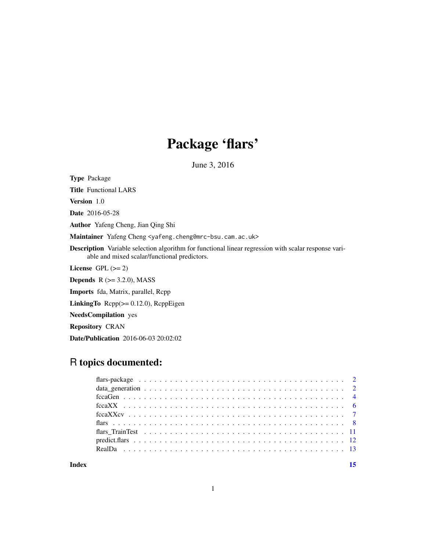## Package 'flars'

June 3, 2016

Type Package Title Functional LARS

Version 1.0

Date 2016-05-28

Author Yafeng Cheng, Jian Qing Shi

Maintainer Yafeng Cheng <yafeng.cheng@mrc-bsu.cam.ac.uk>

Description Variable selection algorithm for functional linear regression with scalar response variable and mixed scalar/functional predictors.

License GPL  $(>= 2)$ 

**Depends**  $R$  ( $>= 3.2.0$ ), MASS

Imports fda, Matrix, parallel, Rcpp

LinkingTo Rcpp(>= 0.12.0), RcppEigen

NeedsCompilation yes

Repository CRAN

Date/Publication 2016-06-03 20:02:02

## R topics documented:

| Index |  |  |  |  |  |  |  |  |  |  |  |  |  |  |  |  |  |
|-------|--|--|--|--|--|--|--|--|--|--|--|--|--|--|--|--|--|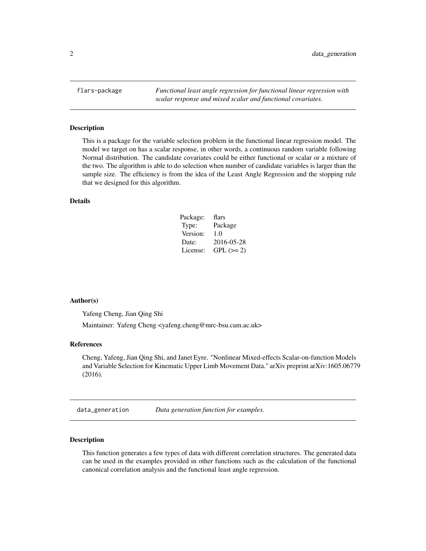<span id="page-1-0"></span>flars-package *Functional least angle regression for functional linear regression with scalar response and mixed scalar and functional covariates.*

## Description

This is a package for the variable selection problem in the functional linear regression model. The model we target on has a scalar response, in other words, a continuous random variable following Normal distribution. The candidate covariates could be either functional or scalar or a mixture of the two. The algorithm is able to do selection when number of candidate variables is larger than the sample size. The efficiency is from the idea of the Least Angle Regression and the stopping rule that we designed for this algorithm.

## Details

| Package: | flars       |
|----------|-------------|
| Type:    | Package     |
| Version: | 1.0         |
| Date:    | 2016-05-28  |
| License: | $GPL (= 2)$ |

#### Author(s)

Yafeng Cheng, Jian Qing Shi

Maintainer: Yafeng Cheng <yafeng.cheng@mrc-bsu.cam.ac.uk>

## References

Cheng, Yafeng, Jian Qing Shi, and Janet Eyre. "Nonlinear Mixed-effects Scalar-on-function Models and Variable Selection for Kinematic Upper Limb Movement Data." arXiv preprint arXiv:1605.06779 (2016).

data\_generation *Data generation function for examples.*

## Description

This function generates a few types of data with different correlation structures. The generated data can be used in the examples provided in other functions such as the calculation of the functional canonical correlation analysis and the functional least angle regression.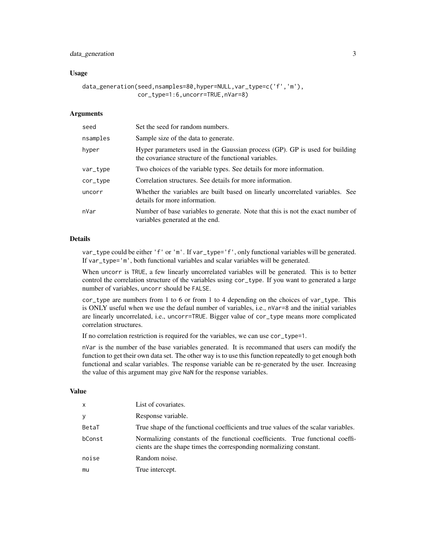## data\_generation 3

## Usage

```
data_generation(seed,nsamples=80,hyper=NULL,var_type=c('f','m'),
                cor_type=1:6,uncorr=TRUE,nVar=8)
```
## Arguments

| seed     | Set the seed for random numbers.                                                                                                     |
|----------|--------------------------------------------------------------------------------------------------------------------------------------|
| nsamples | Sample size of the data to generate.                                                                                                 |
| hyper    | Hyper parameters used in the Gaussian process (GP). GP is used for building<br>the covariance structure of the functional variables. |
| var_type | Two choices of the variable types. See details for more information.                                                                 |
| cor_type | Correlation structures. See details for more information.                                                                            |
| uncorr   | Whether the variables are built based on linearly uncorrelated variables. See<br>details for more information.                       |
| nVar     | Number of base variables to generate. Note that this is not the exact number of<br>variables generated at the end.                   |

## Details

var\_type could be either 'f' or 'm'. If var\_type='f', only functional variables will be generated. If var\_type='m', both functional variables and scalar variables will be generated.

When uncorr is TRUE, a few linearly uncorrelated variables will be generated. This is to better control the correlation structure of the variables using cor\_type. If you want to generated a large number of variables, uncorr should be FALSE.

cor\_type are numbers from 1 to 6 or from 1 to 4 depending on the choices of var\_type. This is ONLY useful when we use the defaul number of variables, i.e., nVar=8 and the initial variables are linearly uncorrelated, i.e., uncorr=TRUE. Bigger value of cor\_type means more complicated correlation structures.

If no correlation restriction is required for the variables, we can use cor\_type=1.

nVar is the number of the base variables generated. It is recommaned that users can modify the function to get their own data set. The other way is to use this function repeatedly to get enough both functional and scalar variables. The response variable can be re-generated by the user. Increasing the value of this argument may give NaN for the response variables.

#### Value

| x      | List of covariates.                                                                                                                                 |
|--------|-----------------------------------------------------------------------------------------------------------------------------------------------------|
| У      | Response variable.                                                                                                                                  |
| BetaT  | True shape of the functional coefficients and true values of the scalar variables.                                                                  |
| bConst | Normalizing constants of the functional coefficients. True functional coeffi-<br>cients are the shape times the corresponding normalizing constant. |
| noise  | Random noise.                                                                                                                                       |
| mu     | True intercept.                                                                                                                                     |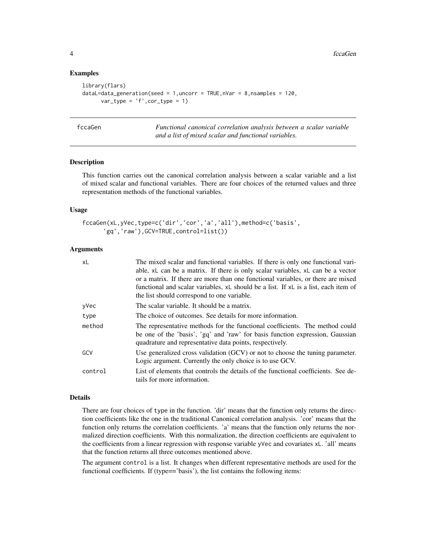## Examples

```
library(flars)
dataL=data_generation(seed = 1, uncorr = TRUE, nVar = 8, nsamples = 120,
      var_type = 'f', cor_type = 1)
```
<span id="page-3-1"></span>

| fccaGen |  |  |  |
|---------|--|--|--|
|         |  |  |  |

Functional canonical correlation analysis between a scalar variable *and a list of mixed scalar and functional variables.*

## Description

This function carries out the canonical correlation analysis between a scalar variable and a list of mixed scalar and functional variables. There are four choices of the returned values and three representation methods of the functional variables.

## Usage

```
fccaGen(xL,yVec,type=c('dir','cor','a','all'),method=c('basis',
      'gq','raw'),GCV=TRUE,control=list())
```
## Arguments

| xL      | The mixed scalar and functional variables. If there is only one functional vari-<br>able, xL can be a matrix. If there is only scalar variables, xL can be a vector<br>or a matrix. If there are more than one functional variables, or there are mixed |
|---------|---------------------------------------------------------------------------------------------------------------------------------------------------------------------------------------------------------------------------------------------------------|
|         | functional and scalar variables, xL should be a list. If xL is a list, each item of<br>the list should correspond to one variable.                                                                                                                      |
| yVec    | The scalar variable. It should be a matrix.                                                                                                                                                                                                             |
| type    | The choice of outcomes. See details for more information.                                                                                                                                                                                               |
| method  | The representative methods for the functional coefficients. The method could<br>be one of the 'basis', 'gq' and 'raw' for basis function expression, Gaussian<br>quadrature and representative data points, respectively.                               |
| GCV     | Use generalized cross validation (GCV) or not to choose the tuning parameter.<br>Logic argument. Currently the only choice is to use GCV.                                                                                                               |
| control | List of elements that controls the details of the functional coefficients. See de-<br>tails for more information.                                                                                                                                       |

## Details

There are four choices of type in the function. 'dir' means that the function only returns the direction coefficients like the one in the traditional Canonical correlation analysis. 'cor' means that the function only returns the correlation coefficients. 'a' means that the function only returns the normalized direction coefficients. With this normalization, the direction coefficients are equivalent to the coefficients from a linear regression with response variable yVec and covariates xL. 'all' means that the function returns all three outcomes mentioned above.

The argument control is a list. It changes when different representative methods are used for the functional coefficients. If (type=='basis'), the list contains the following items:

<span id="page-3-0"></span>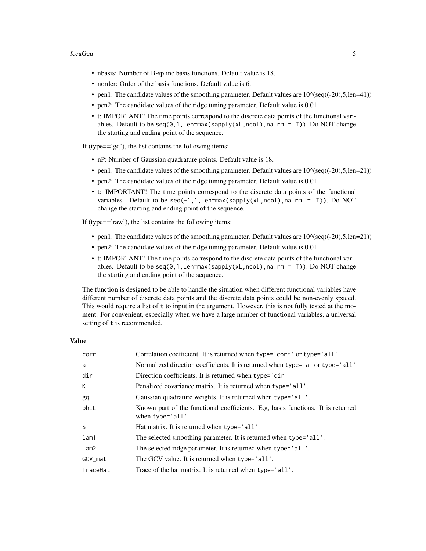#### fccaGen 5

- nbasis: Number of B-spline basis functions. Default value is 18.
- norder: Order of the basis functions. Default value is 6.
- pen1: The candidate values of the smoothing parameter. Default values are  $10^{\circ}(\text{seq}((-20),5,\text{len}=41))$
- pen2: The candidate values of the ridge tuning parameter. Default value is 0.01
- t: IMPORTANT! The time points correspond to the discrete data points of the functional variables. Default to be seq(0,1,len=max(sapply(xL,ncol),na.rm = T)). Do NOT change the starting and ending point of the sequence.

If (type $=='$ gq'), the list contains the following items:

- nP: Number of Gaussian quadrature points. Default value is 18.
- pen1: The candidate values of the smoothing parameter. Default values are  $10^{\circ}(\text{seq}((-20),5,\text{len}=21))$
- pen2: The candidate values of the ridge tuning parameter. Default value is 0.01
- t: IMPORTANT! The time points correspond to the discrete data points of the functional variables. Default to be  $seq(-1,1,len=max(sapply(xL,ncol),na.cm = T))$ . Do NOT change the starting and ending point of the sequence.

If (type=='raw'), the list contains the following items:

- pen1: The candidate values of the smoothing parameter. Default values are  $10^{\circ}(\text{seq}((-20),5,\text{len}=21))$
- pen2: The candidate values of the ridge tuning parameter. Default value is 0.01
- t: IMPORTANT! The time points correspond to the discrete data points of the functional variables. Default to be seq(0,1,len=max(sapply(xL,ncol),na.rm = T)). Do NOT change the starting and ending point of the sequence.

The function is designed to be able to handle the situation when different functional variables have different number of discrete data points and the discrete data points could be non-evenly spaced. This would require a list of t to input in the argument. However, this is not fully tested at the moment. For convenient, especially when we have a large number of functional variables, a universal setting of t is recommended.

## Value

| corr     | Correlation coefficient. It is returned when type='corr' or type='all'                              |
|----------|-----------------------------------------------------------------------------------------------------|
| a        | Normalized direction coefficients. It is returned when type='a' or type='all'                       |
| dir      | Direction coefficients. It is returned when type='dir'                                              |
| К        | Penalized covariance matrix. It is returned when type='all'.                                        |
| gq       | Gaussian quadrature weights. It is returned when type='all'.                                        |
| phil     | Known part of the functional coefficients. E.g, basis functions. It is returned<br>when type='all'. |
| S        | Hat matrix. It is returned when type='all'.                                                         |
| lam1     | The selected smoothing parameter. It is returned when type='all'.                                   |
| lam2     | The selected ridge parameter. It is returned when type='all'.                                       |
| GCV_mat  | The GCV value. It is returned when type='all'.                                                      |
| TraceHat | Trace of the hat matrix. It is returned when type='all'.                                            |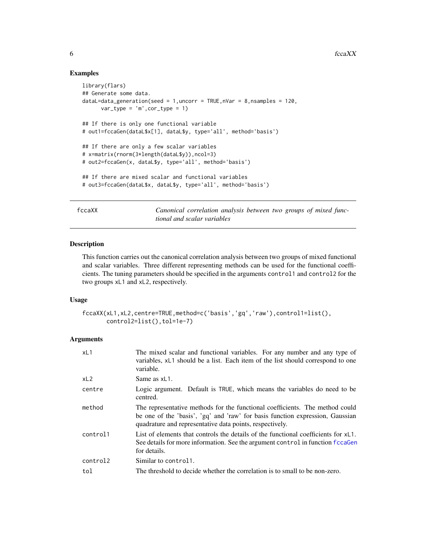## Examples

```
library(flars)
## Generate some data.
dataL=data_generation(seed = 1, uncorr = TRUE, nVar = 8, nsamples = 120,
      var_type = 'm', cor_type = 1)## If there is only one functional variable
# out1=fccaGen(dataL$x[1], dataL$y, type='all', method='basis')
## If there are only a few scalar variables
# x=matrix(rnorm(3*length(dataL$y)),ncol=3)
# out2=fccaGen(x, dataL$y, type='all', method='basis')
## If there are mixed scalar and functional variables
# out3=fccaGen(dataL$x, dataL$y, type='all', method='basis')
```
<span id="page-5-1"></span>fccaXX *Canonical correlation analysis between two groups of mixed functional and scalar variables*

## Description

This function carries out the canonical correlation analysis between two groups of mixed functional and scalar variables. Three different representing methods can be used for the functional coefficients. The tuning parameters should be specified in the arguments control1 and control2 for the two groups xL1 and xL2, respectively.

## Usage

```
fccaXX(xL1,xL2,centre=TRUE,method=c('basis','gq','raw'),control1=list(),
       control2=list(),tol=1e-7)
```

| xL1      | The mixed scalar and functional variables. For any number and any type of<br>variables, xL1 should be a list. Each item of the list should correspond to one<br>variable.                                                 |
|----------|---------------------------------------------------------------------------------------------------------------------------------------------------------------------------------------------------------------------------|
| xL2      | Same as $xL1$ .                                                                                                                                                                                                           |
| centre   | Logic argument. Default is TRUE, which means the variables do need to be<br>centred.                                                                                                                                      |
| method   | The representative methods for the functional coefficients. The method could<br>be one of the 'basis', 'gq' and 'raw' for basis function expression, Gaussian<br>quadrature and representative data points, respectively. |
| control1 | List of elements that controls the details of the functional coefficients for xL1.<br>See details for more information. See the argument control in function fice agent<br>for details.                                   |
| control2 | Similar to control1.                                                                                                                                                                                                      |
| tol      | The threshold to decide whether the correlation is to small to be non-zero.                                                                                                                                               |

<span id="page-5-0"></span>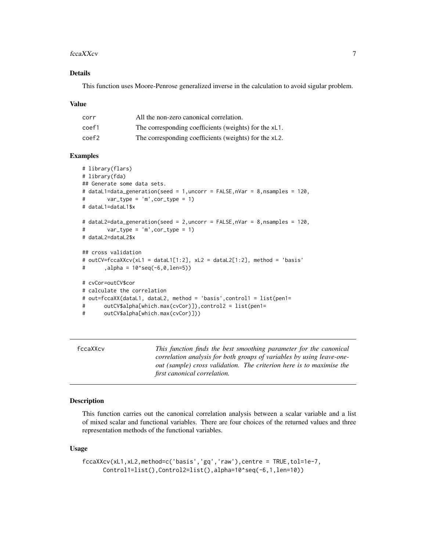#### <span id="page-6-0"></span>fccaXXcv 7

## Details

This function uses Moore-Penrose generalized inverse in the calculation to avoid sigular problem.

#### Value

| corr  | All the non-zero canonical correlation.               |
|-------|-------------------------------------------------------|
| coef1 | The corresponding coefficients (weights) for the xL1. |
| coef2 | The corresponding coefficients (weights) for the xL2. |

## Examples

```
# library(flars)
# library(fda)
## Generate some data sets.
# dataL1=data_generation(seed = 1,uncorr = FALSE,nVar = 8,nsamples = 120,
# var_type = 'm',cor_type = 1)
# dataL1=dataL1$x
# dataL2=data_generation(seed = 2,uncorr = FALSE,nVar = 8,nsamples = 120,
# var_type = 'm',cor_type = 1)
# dataL2=dataL2$x
## cross validation
# outCV=fccaXXcv(xL1 = dataL1[1:2], xL2 = dataL2[1:2], method = 'basis'
# \t, alpha = 10<sup>^</sup>seq(-6,0,len=5))
# cvCor=outCV$cor
# calculate the correlation
# out=fccaXX(dataL1, dataL2, method = 'basis', control1 = list(pen1=
# outCV$alpha[which.max(cvCor)]),control2 = list(pen1=
# outCV$alpha[which.max(cvCor)]))
```
fccaXXcv *This function finds the best smoothing parameter for the canonical correlation analysis for both groups of variables by using leave-oneout (sample) cross validation. The criterion here is to maximise the first canonical correlation.*

## Description

This function carries out the canonical correlation analysis between a scalar variable and a list of mixed scalar and functional variables. There are four choices of the returned values and three representation methods of the functional variables.

## Usage

```
fccaXXcv(xL1,xL2,method=c('basis','gq','raw'),centre = TRUE,tol=1e-7,
     Control1=list(),Control2=list(),alpha=10^seq(-6,1,len=10))
```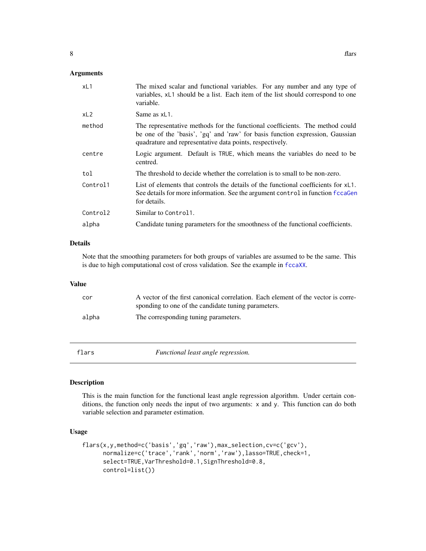## <span id="page-7-0"></span>Arguments

| xL1      | The mixed scalar and functional variables. For any number and any type of<br>variables, xL1 should be a list. Each item of the list should correspond to one<br>variable.                                                 |
|----------|---------------------------------------------------------------------------------------------------------------------------------------------------------------------------------------------------------------------------|
| xL2      | Same as xL1.                                                                                                                                                                                                              |
| method   | The representative methods for the functional coefficients. The method could<br>be one of the 'basis', 'gq' and 'raw' for basis function expression, Gaussian<br>quadrature and representative data points, respectively. |
| centre   | Logic argument. Default is TRUE, which means the variables do need to be<br>centred.                                                                                                                                      |
| tol      | The threshold to decide whether the correlation is to small to be non-zero.                                                                                                                                               |
| Control1 | List of elements that controls the details of the functional coefficients for $xL1$ .<br>See details for more information. See the argument control in function fccaGen<br>for details.                                   |
| Control2 | Similar to Control1.                                                                                                                                                                                                      |
| alpha    | Candidate tuning parameters for the smoothness of the functional coefficients.                                                                                                                                            |
|          |                                                                                                                                                                                                                           |

## Details

Note that the smoothing parameters for both groups of variables are assumed to be the same. This is due to high computational cost of cross validation. See the example in [fccaXX](#page-5-1).

## Value

| cor   | A vector of the first canonical correlation. Each element of the vector is corre-<br>sponding to one of the candidate tuning parameters. |
|-------|------------------------------------------------------------------------------------------------------------------------------------------|
| alpha | The corresponding tuning parameters.                                                                                                     |

<span id="page-7-1"></span>

flars *Functional least angle regression.*

## Description

This is the main function for the functional least angle regression algorithm. Under certain conditions, the function only needs the input of two arguments: x and y. This function can do both variable selection and parameter estimation.

## Usage

```
flars(x,y,method=c('basis','gq','raw'),max_selection,cv=c('gcv'),
     normalize=c('trace','rank','norm','raw'),lasso=TRUE,check=1,
     select=TRUE,VarThreshold=0.1,SignThreshold=0.8,
     control=list())
```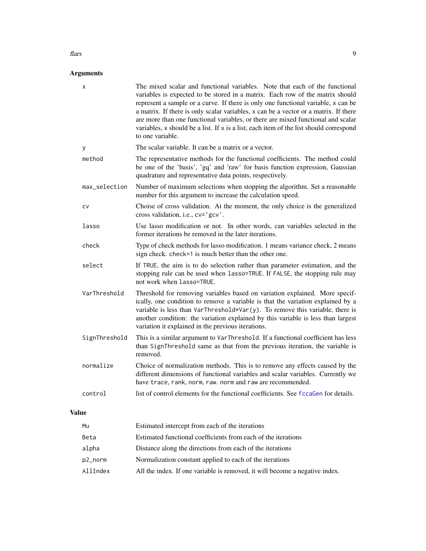#### <span id="page-8-0"></span>flars **9**

|              | х             | The mixed scalar and functional variables. Note that each of the functional<br>variables is expected to be stored in a matrix. Each row of the matrix should<br>represent a sample or a curve. If there is only one functional variable, x can be<br>a matrix. If there is only scalar variables, x can be a vector or a matrix. If there<br>are more than one functional variables, or there are mixed functional and scalar<br>variables, x should be a list. If x is a list, each item of the list should correspond<br>to one variable. |
|--------------|---------------|---------------------------------------------------------------------------------------------------------------------------------------------------------------------------------------------------------------------------------------------------------------------------------------------------------------------------------------------------------------------------------------------------------------------------------------------------------------------------------------------------------------------------------------------|
|              | У             | The scalar variable. It can be a matrix or a vector.                                                                                                                                                                                                                                                                                                                                                                                                                                                                                        |
|              | method        | The representative methods for the functional coefficients. The method could<br>be one of the 'basis', 'gq' and 'raw' for basis function expression, Gaussian<br>quadrature and representative data points, respectively.                                                                                                                                                                                                                                                                                                                   |
|              | max_selection | Number of maximum selections when stopping the algorithm. Set a reasonable<br>number for this argument to increase the calculation speed.                                                                                                                                                                                                                                                                                                                                                                                                   |
|              | CV            | Choise of cross validation. At the moment, the only choice is the generalized<br>cross validation, i.e., cv='gcv'.                                                                                                                                                                                                                                                                                                                                                                                                                          |
|              | lasso         | Use lasso modification or not. In other words, can variables selected in the<br>former iterations be removed in the later iterations.                                                                                                                                                                                                                                                                                                                                                                                                       |
|              | check         | Type of check methods for lasso modification. 1 means variance check, 2 means<br>sign check. check=1 is much better than the other one.                                                                                                                                                                                                                                                                                                                                                                                                     |
|              | select        | If TRUE, the aim is to do selection rather than parameter estimation, and the<br>stopping rule can be used when lasso=TRUE. If FALSE, the stopping rule may<br>not work when lasso=TRUE.                                                                                                                                                                                                                                                                                                                                                    |
|              | VarThreshold  | Threshold for removing variables based on variation explained. More specif-<br>ically, one condition to remove a variable is that the variation explained by a<br>variable is less than VarThreshold*Var(y). To remove this variable, there is<br>another condition: the variation explained by this variable is less than largest<br>variation it explained in the previous iterations.                                                                                                                                                    |
|              | SignThreshold | This is a similar argument to VarThreshold. If a functional coefficient has less<br>than SignThreshold same as that from the previous iteration, the variable is<br>removed.                                                                                                                                                                                                                                                                                                                                                                |
|              | normalize     | Choice of normalization methods. This is to remove any effects caused by the<br>different dimensions of functional variables and scalar variables. Currently we<br>have trace, rank, norm, raw. norm and raw are recommended.                                                                                                                                                                                                                                                                                                               |
|              | control       | list of control elements for the functional coefficients. See f ccaGen for details.                                                                                                                                                                                                                                                                                                                                                                                                                                                         |
| <b>Value</b> |               |                                                                                                                                                                                                                                                                                                                                                                                                                                                                                                                                             |
|              | Mu            | Estimated intercept from each of the iterations                                                                                                                                                                                                                                                                                                                                                                                                                                                                                             |
|              | Beta          | Estimated functional coefficients from each of the iterations                                                                                                                                                                                                                                                                                                                                                                                                                                                                               |
|              | alpha         | Distance along the directions from each of the iterations                                                                                                                                                                                                                                                                                                                                                                                                                                                                                   |
|              | p2_norm       | Normalization constant applied to each of the iterations                                                                                                                                                                                                                                                                                                                                                                                                                                                                                    |
|              | AllIndex      | All the index. If one variable is removed, it will become a negative index.                                                                                                                                                                                                                                                                                                                                                                                                                                                                 |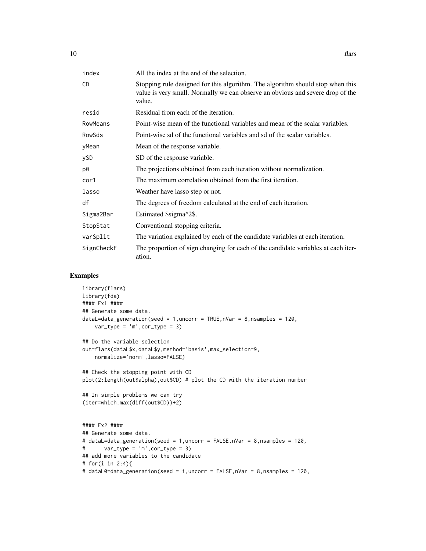| index      | All the index at the end of the selection.                                                                                                                                 |
|------------|----------------------------------------------------------------------------------------------------------------------------------------------------------------------------|
| <b>CD</b>  | Stopping rule designed for this algorithm. The algorithm should stop when this<br>value is very small. Normally we can observe an obvious and severe drop of the<br>value. |
| resid      | Residual from each of the iteration.                                                                                                                                       |
| RowMeans   | Point-wise mean of the functional variables and mean of the scalar variables.                                                                                              |
| RowSds     | Point-wise sd of the functional variables and sd of the scalar variables.                                                                                                  |
| yMean      | Mean of the response variable.                                                                                                                                             |
| ySD        | SD of the response variable.                                                                                                                                               |
| p0         | The projections obtained from each iteration without normalization.                                                                                                        |
| cor1       | The maximum correlation obtained from the first iteration.                                                                                                                 |
| lasso      | Weather have lasso step or not.                                                                                                                                            |
| df         | The degrees of freedom calculated at the end of each iteration.                                                                                                            |
| Sigma2Bar  | Estimated \$sigma^2\$.                                                                                                                                                     |
| StopStat   | Conventional stopping criteria.                                                                                                                                            |
| varSplit   | The variation explained by each of the candidate variables at each iteration.                                                                                              |
| SignCheckF | The proportion of sign changing for each of the candidate variables at each iter-<br>ation.                                                                                |

## Examples

```
library(flars)
library(fda)
#### Ex1 ####
## Generate some data.
dataL=data_generation(seed = 1, uncorr = TRUE, nVar = 8, nsamples = 120,
    var_type = 'm', cor_type = 3)## Do the variable selection
out=flars(dataL$x,dataL$y,method='basis',max_selection=9,
    normalize='norm',lasso=FALSE)
## Check the stopping point with CD
plot(2:length(out$alpha),out$CD) # plot the CD with the iteration number
## In simple problems we can try
(iter=which.max(diff(out$CD))+2)
#### Ex2 ####
## Generate some data.
# dataL=data_generation(seed = 1,uncorr = FALSE,nVar = 8,nsamples = 120,
# var_type = 'm',cor_type = 3)
## add more variables to the candidate
# for(i in 2:4){
# dataL0=data_generation(seed = i,uncorr = FALSE,nVar = 8,nsamples = 120,
```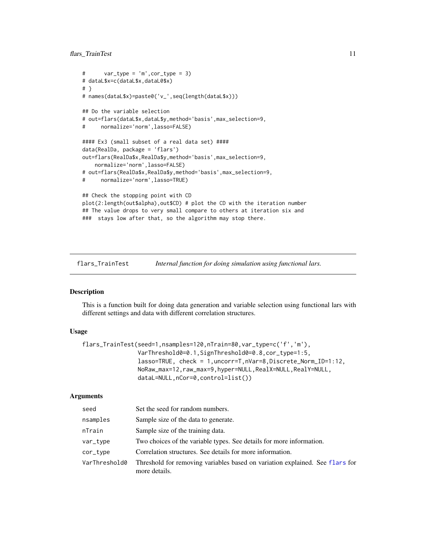## <span id="page-10-0"></span>flars\_TrainTest 11

```
# var_type = 'm',cor_type = 3)
# dataL$x=c(dataL$x,dataL0$x)
# }
# names(dataL$x)=paste0('v_',seq(length(dataL$x)))
## Do the variable selection
# out=flars(dataL$x,dataL$y,method='basis',max_selection=9,
# normalize='norm',lasso=FALSE)
#### Ex3 (small subset of a real data set) ####
data(RealDa, package = 'flars')
out=flars(RealDa$x,RealDa$y,method='basis',max_selection=9,
   normalize='norm',lasso=FALSE)
# out=flars(RealDa$x,RealDa$y,method='basis',max_selection=9,
# normalize='norm',lasso=TRUE)
## Check the stopping point with CD
plot(2:length(out$alpha),out$CD) # plot the CD with the iteration number
## The value drops to very small compare to others at iteration six and
### stays low after that, so the algorithm may stop there.
```
flars\_TrainTest *Internal function for doing simulation using functional lars.*

## Description

This is a function built for doing data generation and variable selection using functional lars with different settings and data with different correlation structures.

## Usage

```
flars_TrainTest(seed=1,nsamples=120,nTrain=80,var_type=c('f','m'),
                VarThreshold0=0.1,SignThreshold0=0.8,cor_type=1:5,
                lasso=TRUE, check = 1,uncorr=T,nVar=8,Discrete_Norm_ID=1:12,
                NoRaw_max=12,raw_max=9,hyper=NULL,RealX=NULL,RealY=NULL,
                dataL=NULL,nCor=0,control=list())
```

| seed          | Set the seed for random numbers.                                                              |
|---------------|-----------------------------------------------------------------------------------------------|
| nsamples      | Sample size of the data to generate.                                                          |
| nTrain        | Sample size of the training data.                                                             |
| var_type      | Two choices of the variable types. See details for more information.                          |
| cor_type      | Correlation structures. See details for more information.                                     |
| VarThreshold0 | Threshold for removing variables based on variation explained. See flars for<br>more details. |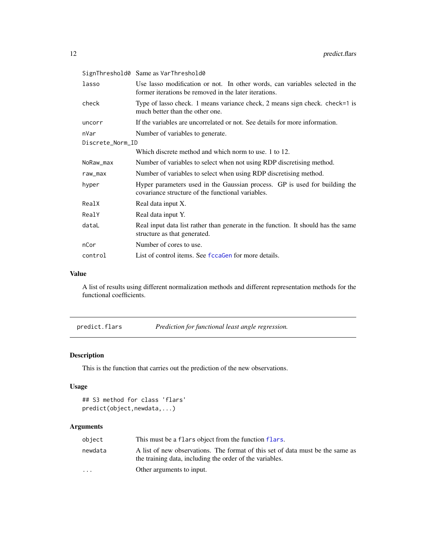<span id="page-11-0"></span>

|                  | SignThreshold0 Same as VarThreshold0                                                                                                  |  |
|------------------|---------------------------------------------------------------------------------------------------------------------------------------|--|
| lasso            | Use lasso modification or not. In other words, can variables selected in the<br>former iterations be removed in the later iterations. |  |
| check            | Type of lasso check. 1 means variance check, 2 means sign check. check=1 is<br>much better than the other one.                        |  |
| uncorr           | If the variables are uncorrelated or not. See details for more information.                                                           |  |
| nVar             | Number of variables to generate.                                                                                                      |  |
| Discrete_Norm_ID |                                                                                                                                       |  |
|                  | Which discrete method and which norm to use. 1 to 12.                                                                                 |  |
| NoRaw_max        | Number of variables to select when not using RDP discretising method.                                                                 |  |
| raw_max          | Number of variables to select when using RDP discretising method.                                                                     |  |
| hyper            | Hyper parameters used in the Gaussian process. GP is used for building the<br>covariance structure of the functional variables.       |  |
| RealX            | Real data input X.                                                                                                                    |  |
| RealY            | Real data input Y.                                                                                                                    |  |
| dataL            | Real input data list rather than generate in the function. It should has the same<br>structure as that generated.                     |  |
| nCor             | Number of cores to use.                                                                                                               |  |
| control          | List of control items. See fccaGen for more details.                                                                                  |  |

#### Value

A list of results using different normalization methods and different representation methods for the functional coefficients.

predict.flars *Prediction for functional least angle regression.*

## Description

This is the function that carries out the prediction of the new observations.

## Usage

```
## S3 method for class 'flars'
predict(object,newdata,...)
```

| object    | This must be a flars object from the function flars.                                                                                       |
|-----------|--------------------------------------------------------------------------------------------------------------------------------------------|
| newdata   | A list of new observations. The format of this set of data must be the same as<br>the training data, including the order of the variables. |
| $\ddotsc$ | Other arguments to input.                                                                                                                  |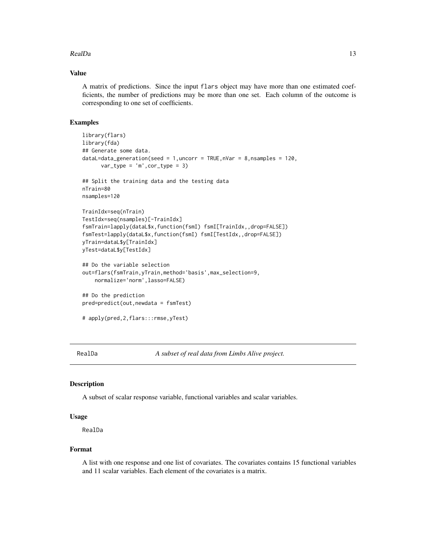## <span id="page-12-0"></span> $RealDa$  13

## Value

A matrix of predictions. Since the input flars object may have more than one estimated coefficients, the number of predictions may be more than one set. Each column of the outcome is corresponding to one set of coefficients.

## Examples

```
library(flars)
library(fda)
## Generate some data.
dataL=data_generation(seed = 1, uncorr = TRUE, nVar = 8, nsamples = 120,
      var_type = 'm', cor_type = 3)## Split the training data and the testing data
nTrain=80
nsamples=120
TrainIdx=seq(nTrain)
TestIdx=seq(nsamples)[-TrainIdx]
fsmTrain=lapply(dataL$x,function(fsmI) fsmI[TrainIdx,,drop=FALSE])
fsmTest=lapply(dataL$x,function(fsmI) fsmI[TestIdx,,drop=FALSE])
yTrain=dataL$y[TrainIdx]
yTest=dataL$y[TestIdx]
## Do the variable selection
out=flars(fsmTrain,yTrain,method='basis',max_selection=9,
   normalize='norm',lasso=FALSE)
## Do the prediction
pred=predict(out,newdata = fsmTest)
# apply(pred,2,flars:::rmse,yTest)
```
RealDa *A subset of real data from Limbs Alive project.*

#### Description

A subset of scalar response variable, functional variables and scalar variables.

## Usage

RealDa

#### Format

A list with one response and one list of covariates. The covariates contains 15 functional variables and 11 scalar variables. Each element of the covariates is a matrix.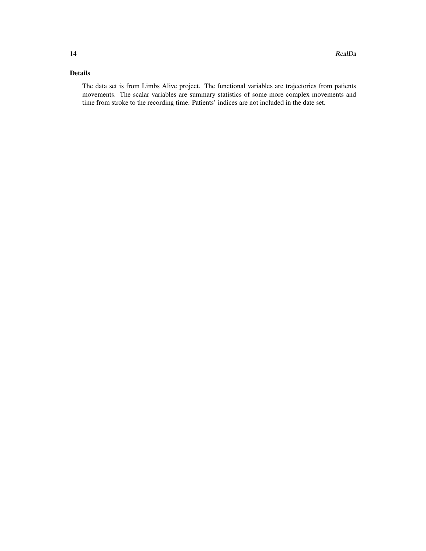## Details

The data set is from Limbs Alive project. The functional variables are trajectories from patients movements. The scalar variables are summary statistics of some more complex movements and time from stroke to the recording time. Patients' indices are not included in the date set.